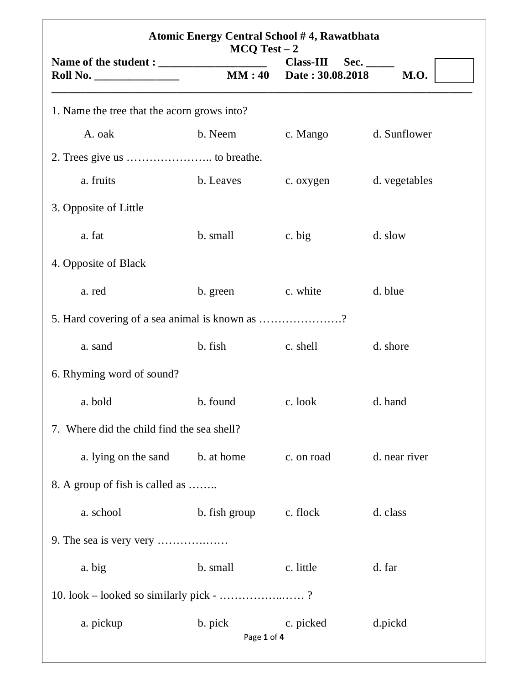| Atomic Energy Central School #4, Rawatbhata<br>$MCQ Test - 2$ |                        |                                                |               |  |  |
|---------------------------------------------------------------|------------------------|------------------------------------------------|---------------|--|--|
| $\boxed{\text{Roll No.}\quad \quad \quad }$                   |                        | $Class-III$<br>Sec.<br>MM: 40 Date: 30.08.2018 | <b>M.O.</b>   |  |  |
| 1. Name the tree that the acorn grows into?                   |                        |                                                |               |  |  |
| A. oak                                                        | b. Neem                | c. Mango                                       | d. Sunflower  |  |  |
|                                                               |                        |                                                |               |  |  |
| a. fruits                                                     | b. Leaves              | c. oxygen                                      | d. vegetables |  |  |
| 3. Opposite of Little                                         |                        |                                                |               |  |  |
| a. fat                                                        | b. small               | c. big                                         | d. slow       |  |  |
| 4. Opposite of Black                                          |                        |                                                |               |  |  |
| a. red                                                        | b. green               | c. white                                       | d. blue       |  |  |
| 5. Hard covering of a sea animal is known as ?                |                        |                                                |               |  |  |
| a. sand                                                       | b. fish                | c. shell                                       | d. shore      |  |  |
| 6. Rhyming word of sound?                                     |                        |                                                |               |  |  |
| a. bold                                                       | b. found               | c. look                                        | d. hand       |  |  |
| 7. Where did the child find the sea shell?                    |                        |                                                |               |  |  |
| a. lying on the sand                                          | b. at home             | c. on road                                     | d. near river |  |  |
| 8. A group of fish is called as                               |                        |                                                |               |  |  |
| a. school                                                     | b. fish group          | c. flock                                       | d. class      |  |  |
|                                                               |                        |                                                |               |  |  |
| a. big                                                        | b. small               | c. little                                      | d. far        |  |  |
| 10. look – looked so similarly pick - ?                       |                        |                                                |               |  |  |
| a. pickup                                                     | b. pick<br>Page 1 of 4 | c. picked                                      | d.pickd       |  |  |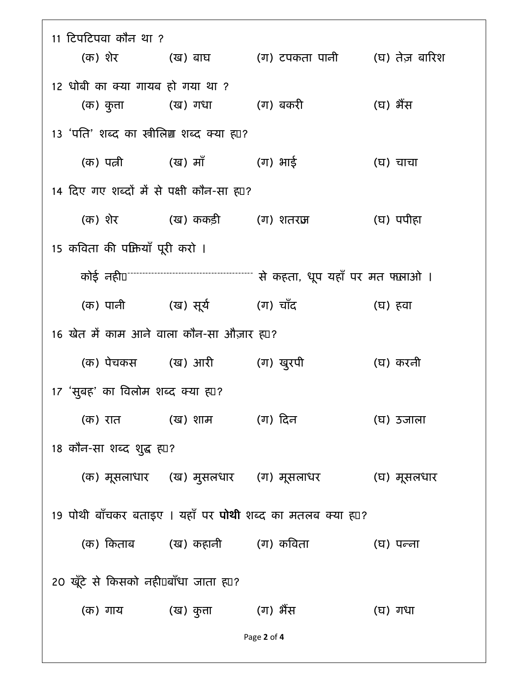| 11 टिपटिपवा कौन था ?                                             |                                                 | (क) शेर           (ख) बाघ         (ग) टपकता पानी       (घ) तेज़ बारिश |           |  |  |
|------------------------------------------------------------------|-------------------------------------------------|-----------------------------------------------------------------------|-----------|--|--|
|                                                                  |                                                 |                                                                       |           |  |  |
| 12 धोबी का क्या गायब हो गया था ?                                 |                                                 |                                                                       |           |  |  |
|                                                                  | (क) कुता         (ख) गधा         (ग) बकरी       |                                                                       | (घ) भैंस  |  |  |
| 13 'पति' शब्द का स्त्रीलिण शब्द क्या ह्या?                       |                                                 |                                                                       |           |  |  |
|                                                                  | (क) पत्नी          (ख) माँ           (ग) भाई    |                                                                       | (घ) चाचा  |  |  |
| 14 दिए गए शब्दों में से पक्षी कौन-सा ह्य?                        |                                                 |                                                                       |           |  |  |
|                                                                  | (क) शेर             (ख) ककड़ी         (ग) शतराज |                                                                       | (घ) पपीहा |  |  |
| 15 कविता की पक्तियाँ पूरी करो ।                                  |                                                 |                                                                       |           |  |  |
|                                                                  |                                                 |                                                                       |           |  |  |
|                                                                  | (क) पानी         (ख) सूर्य           (ग) चाँद   |                                                                       | (घ) हवा   |  |  |
| 16 खेत में काम आने वाला कौन-सा औज़ार ह़ा?                        |                                                 |                                                                       |           |  |  |
|                                                                  | (क) पेचकस (ख) आरी (ग) खुरपी                     |                                                                       | (घ) करनी  |  |  |
| 17 'सुबह' का विलोम शब्द क्या ह्य1?                               |                                                 |                                                                       |           |  |  |
|                                                                  | (क) रात         (ख) शाम         (ग) दिन         |                                                                       | (घ) उजाला |  |  |
| 18 कौन-सा शब्द शुद्ध ह्या?                                       |                                                 |                                                                       |           |  |  |
|                                                                  |                                                 | (क) मूसलाधार (ख) मुसलधार (ग) मूसलाधर     (घ) मूसलधार                  |           |  |  |
| 19 पोथी बाँचकर बताइए । यहाँ पर <b>पोथी</b> शब्द का मतलब क्या ह⊔? |                                                 |                                                                       |           |  |  |
|                                                                  | (क) किताब       (ख) कहानी       (ग) कविता       |                                                                       | (घ) पन्ना |  |  |
| 20 खूँटे से किसको नहीें⊔बाँधा जाता ह़्⊔?                         |                                                 |                                                                       |           |  |  |
|                                                                  | (क) गाय         (ख) कुत्ता         (ग) भैंस     |                                                                       | (घ) गधा   |  |  |
|                                                                  |                                                 | Page 2 of 4                                                           |           |  |  |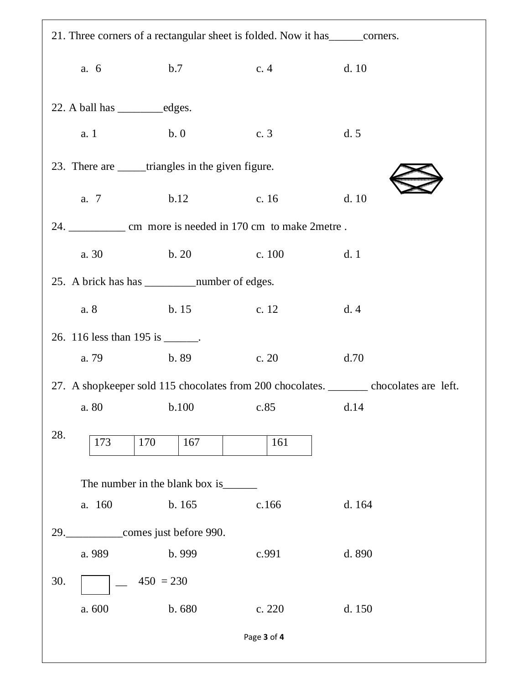| 21. Three corners of a rectangular sheet is folded. Now it has ________ corners. |                                                               |             |                                                                                        |  |  |  |
|----------------------------------------------------------------------------------|---------------------------------------------------------------|-------------|----------------------------------------------------------------------------------------|--|--|--|
| a. 6                                                                             | b.7                                                           | c.4         | d.10                                                                                   |  |  |  |
|                                                                                  |                                                               |             |                                                                                        |  |  |  |
| a. 1                                                                             | b.0                                                           | c. 3        | d.5                                                                                    |  |  |  |
|                                                                                  | 23. There are _____triangles in the given figure.             |             |                                                                                        |  |  |  |
| a. 7                                                                             | b.12                                                          | c. $16$     | d.10                                                                                   |  |  |  |
|                                                                                  | 24. _____________ cm more is needed in 170 cm to make 2metre. |             |                                                                                        |  |  |  |
| a. 30                                                                            | b. 20                                                         | c. 100      | d.1                                                                                    |  |  |  |
|                                                                                  |                                                               |             |                                                                                        |  |  |  |
| a. 8                                                                             | b.15                                                          | c. 12       | d.4                                                                                    |  |  |  |
| 26. 116 less than 195 is _______.                                                |                                                               |             |                                                                                        |  |  |  |
| a. 79                                                                            | b.89                                                          | c. 20       | d.70                                                                                   |  |  |  |
|                                                                                  |                                                               |             | 27. A shopkeeper sold 115 chocolates from 200 chocolates. _______ chocolates are left. |  |  |  |
|                                                                                  | a. 80 b.100 c.85 d.14                                         |             |                                                                                        |  |  |  |
| 28.<br>173                                                                       | 170<br>167                                                    | 161         |                                                                                        |  |  |  |
|                                                                                  | The number in the blank box is_                               |             |                                                                                        |  |  |  |
| a. 160                                                                           | b. 165                                                        | c.166       | d.164                                                                                  |  |  |  |
|                                                                                  | 29. ______________comes just before 990.                      |             |                                                                                        |  |  |  |
| a. 989                                                                           | b. 999                                                        | c.991       | d. 890                                                                                 |  |  |  |
| 30.                                                                              | $450 = 230$                                                   |             |                                                                                        |  |  |  |
| a. 600                                                                           | b. 680                                                        | c. 220      | d. 150                                                                                 |  |  |  |
|                                                                                  |                                                               | Page 3 of 4 |                                                                                        |  |  |  |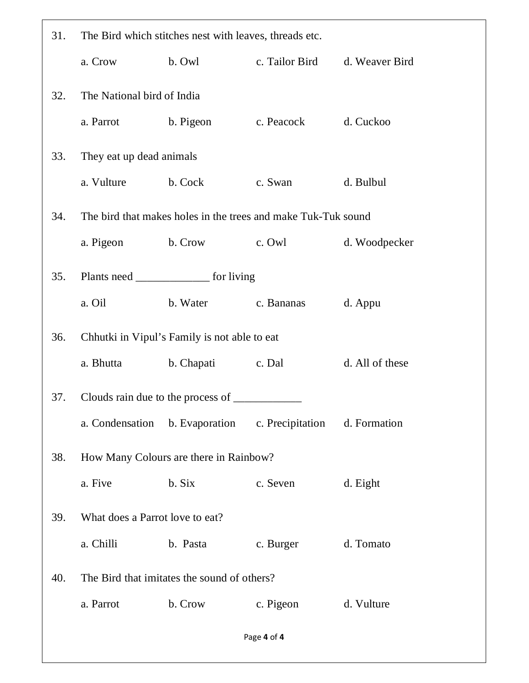| 31. | The Bird which stitches nest with leaves, threads etc. |                                                               |                                              |                 |  |
|-----|--------------------------------------------------------|---------------------------------------------------------------|----------------------------------------------|-----------------|--|
|     | a. Crow                                                | b. Owl                                                        | c. Tailor Bird                               | d. Weaver Bird  |  |
| 32. | The National bird of India                             |                                                               |                                              |                 |  |
|     | a. Parrot                                              | b. Pigeon                                                     | c. Peacock                                   | d. Cuckoo       |  |
| 33. | They eat up dead animals                               |                                                               |                                              |                 |  |
|     | a. Vulture                                             | b. Cock                                                       | c. Swan                                      | d. Bulbul       |  |
| 34. |                                                        | The bird that makes holes in the trees and make Tuk-Tuk sound |                                              |                 |  |
|     | a. Pigeon                                              | b. Crow                                                       | c. Owl                                       | d. Woodpecker   |  |
| 35. |                                                        | Plants need __________________ for living                     |                                              |                 |  |
|     | a. Oil                                                 | b. Water                                                      | c. Bananas                                   | d. Appu         |  |
| 36. |                                                        | Chhutki in Vipul's Family is not able to eat                  |                                              |                 |  |
|     | a. Bhutta                                              | b. Chapati                                                    | c. Dal                                       | d. All of these |  |
| 37. |                                                        | Clouds rain due to the process of __________                  |                                              |                 |  |
|     | a. Condensation                                        |                                                               | b. Evaporation c. Precipitation d. Formation |                 |  |
| 38. |                                                        | How Many Colours are there in Rainbow?                        |                                              |                 |  |
|     | a. Five                                                | b. Six                                                        | c. Seven                                     | d. Eight        |  |
| 39. | What does a Parrot love to eat?                        |                                                               |                                              |                 |  |
|     | a. Chilli                                              | b. Pasta                                                      | c. Burger                                    | d. Tomato       |  |
| 40. |                                                        | The Bird that imitates the sound of others?                   |                                              |                 |  |
|     | a. Parrot                                              | b. Crow                                                       | c. Pigeon                                    | d. Vulture      |  |
|     |                                                        |                                                               | Page 4 of 4                                  |                 |  |
|     |                                                        |                                                               |                                              |                 |  |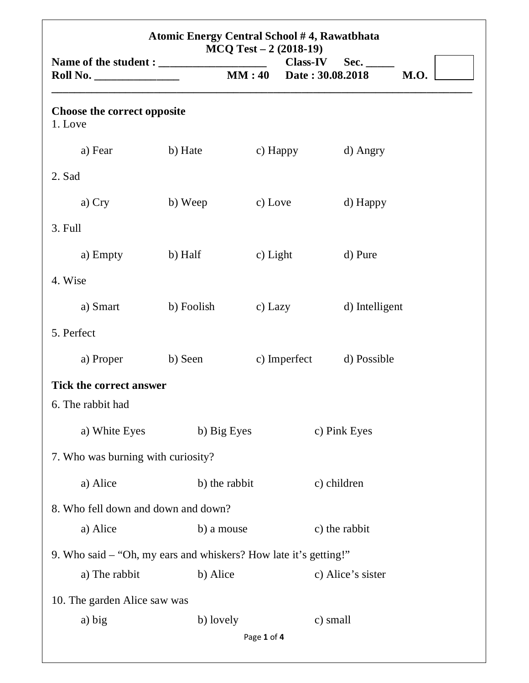| Atomic Energy Central School #4, Rawatbhata<br>$MCQ Test - 2(2018-19)$ |               |             |              |                                   |             |
|------------------------------------------------------------------------|---------------|-------------|--------------|-----------------------------------|-------------|
| <b>Roll No.</b> _______________                                        |               | MM:40       |              | Class-IV Sec.<br>Date: 30.08.2018 | <b>M.O.</b> |
| <b>Choose the correct opposite</b><br>1. Love                          |               |             |              |                                   |             |
| a) Fear                                                                | b) Hate       |             | c) Happy     | d) Angry                          |             |
| 2. Sad                                                                 |               |             |              |                                   |             |
| a) Cry                                                                 | b) Weep       | c) Love     |              | d) Happy                          |             |
| 3. Full                                                                |               |             |              |                                   |             |
| a) Empty                                                               | b) Half       | c) Light    |              | d) Pure                           |             |
| 4. Wise                                                                |               |             |              |                                   |             |
| a) Smart                                                               | b) Foolish    | c) Lazy     |              | d) Intelligent                    |             |
| 5. Perfect                                                             |               |             |              |                                   |             |
| a) Proper                                                              | b) Seen       |             | c) Imperfect | d) Possible                       |             |
| <b>Tick the correct answer</b><br>6. The rabbit had                    |               |             |              |                                   |             |
| a) White Eyes                                                          | b) Big Eyes   |             |              | c) Pink Eyes                      |             |
| 7. Who was burning with curiosity?                                     |               |             |              |                                   |             |
| a) Alice                                                               | b) the rabbit |             |              | c) children                       |             |
| 8. Who fell down and down and down?                                    |               |             |              |                                   |             |
| a) Alice                                                               | b) a mouse    |             |              | c) the rabbit                     |             |
| 9. Who said – "Oh, my ears and whiskers? How late it's getting!"       |               |             |              |                                   |             |
| a) The rabbit                                                          | b) Alice      |             |              | c) Alice's sister                 |             |
| 10. The garden Alice saw was<br>a) big                                 | b) lovely     |             |              | c) small                          |             |
|                                                                        |               | Page 1 of 4 |              |                                   |             |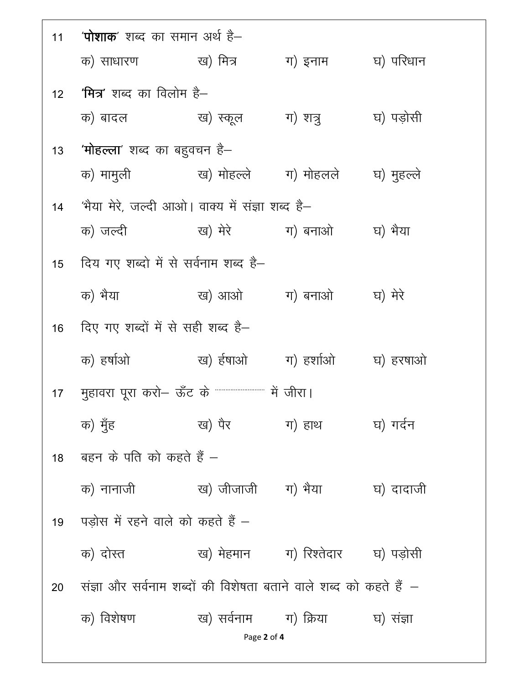|    | 11     ' <b>पोशाक</b> ' शब्द का समान अर्थ है–                     |                             |                                                |            |  |
|----|-------------------------------------------------------------------|-----------------------------|------------------------------------------------|------------|--|
|    | क) साधारण ख) मित्र                                                |                             | ग) इनाम                                        | घ) परिधान  |  |
| 12 | <b>'मित्र</b> ' शब्द का विलोम है–                                 |                             |                                                |            |  |
|    | क) बादल ख) स्कूल                                                  |                             | ग) शत्रु                                       | घ) पड़ोसी  |  |
| 13 | <b>'मोहल्ला</b> ' शब्द का बहुवचन है–                              |                             |                                                |            |  |
|    |                                                                   |                             |                                                | घ) मुहल्ले |  |
| 14 | 'भैया मेरे, जल्दी आओ। वाक्य में संज्ञा शब्द है–                   |                             |                                                |            |  |
|    | क) जल्दी                                                          | ख) मेरे             ग) बनाओ |                                                | घ) भैया    |  |
| 15 | दिय गए शब्दो में से सर्वनाम शब्द है–                              |                             |                                                |            |  |
|    | क) भैया                                                           |                             | ख) आओ ग) बनाओ                                  | घ) मेरे    |  |
| 16 | दिए गए शब्दों में से सही शब्द है–                                 |                             |                                                |            |  |
|    | क) हर्षाओ                                                         | ख) ईषाओ                     | ग) हर्शाओ                                      | घ) हरषाओ   |  |
| 17 | मुहावरा पूरा करो— ऊँट के """""""""""" में जीरा।                   |                             |                                                |            |  |
|    | क) मुँह                                                           | ख) पैर                      | ग) हाथ                                         | घ) गर्दन   |  |
|    | 18 वहन के पति को कहते हैं –                                       |                             |                                                |            |  |
|    | क) नानाजी                                                         | ख) जीजाजी     ग) भैया       |                                                | घ) दादाजी  |  |
| 19 | पड़ोस में रहने वाले को कहते हैं –                                 |                             |                                                |            |  |
|    | क) दोस्त                                                          |                             | ख) मेहमान       ग) रिश्तेदार       घ) पड़ोसी   |            |  |
| 20 | संज्ञा और सर्वनाम शब्दों की विशेषता बताने वाले शब्द को कहते हैं – |                             |                                                |            |  |
|    | क) विशेषण                                                         |                             | ख) सर्वनाम       ग) क्रिया           घ) संज्ञा |            |  |
|    | Page 2 of 4                                                       |                             |                                                |            |  |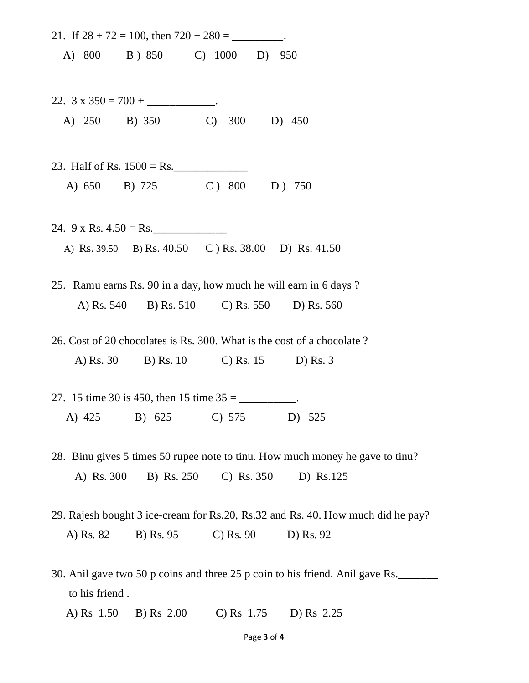| 21. If $28 + 72 = 100$ , then $720 + 280 =$ _________.                                          |
|-------------------------------------------------------------------------------------------------|
| A) 800 B) 850 C) 1000 D) 950                                                                    |
| 22. $3 \times 350 = 700 +$ ____________________.                                                |
| A) 250 B) 350 C)<br>300 D) 450                                                                  |
|                                                                                                 |
| A) 650 B) 725 C) 800 D) 750                                                                     |
| 24. $9 \times \text{Rs. } 4.50 = \text{Rs.}$                                                    |
| A) Rs. 39.50 B) Rs. 40.50 C) Rs. 38.00 D) Rs. 41.50                                             |
| 25. Ramu earns Rs. 90 in a day, how much he will earn in 6 days?                                |
| A) Rs. 540 B) Rs. 510 C) Rs. 550 D) Rs. 560                                                     |
| 26. Cost of 20 chocolates is Rs. 300. What is the cost of a chocolate?                          |
| A) Rs. 30 B) Rs. 10 C) Rs. 15 D) Rs. 3                                                          |
| 27. 15 time 30 is 450, then 15 time $35 =$ ___________.                                         |
| A) 425 B) 625 C) 575<br>D) 525                                                                  |
| 28. Binu gives 5 times 50 rupee note to tinu. How much money he gave to tinu?                   |
| $C)$ Rs. 350<br>A) Rs. 300<br>B) Rs. 250<br>D) Rs.125                                           |
| 29. Rajesh bought 3 ice-cream for Rs.20, Rs.32 and Rs. 40. How much did he pay?                 |
| A) Rs. 82<br>$\mathcal{C}$ Rs. 90<br>D) Rs. 92<br>B) Rs. 95                                     |
| 30. Anil gave two 50 p coins and three 25 p coin to his friend. Anil gave Rs.<br>to his friend. |
| C) Rs $1.75$ D) Rs $2.25$<br>A) Rs 1.50<br>B) Rs 2.00                                           |
| Page 3 of 4                                                                                     |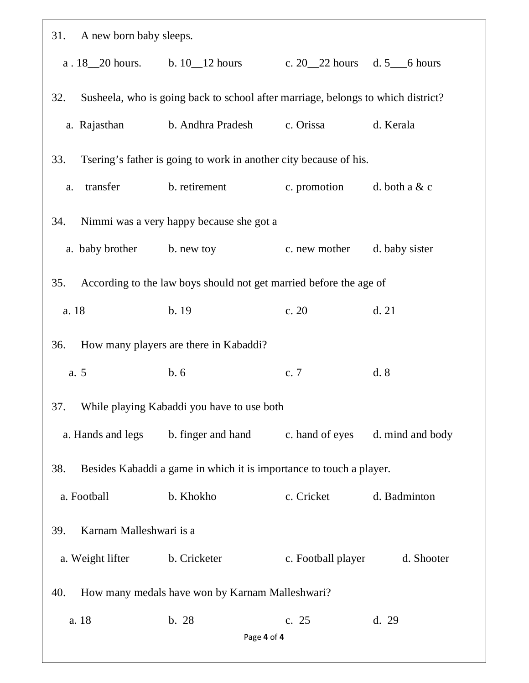| 31. A new born baby sleeps.                            |                                                                                  |                    |                  |  |
|--------------------------------------------------------|----------------------------------------------------------------------------------|--------------------|------------------|--|
|                                                        | a. $18\_\_20$ hours. b. $10\_\_12$ hours c. $20\_\_22$ hours d. 5 6 hours        |                    |                  |  |
| 32.                                                    | Susheela, who is going back to school after marriage, belongs to which district? |                    |                  |  |
|                                                        | a. Rajasthan b. Andhra Pradesh c. Orissa                                         |                    | d. Kerala        |  |
| 33.                                                    | Tsering's father is going to work in another city because of his.                |                    |                  |  |
| transfer<br>a.                                         | b. retirement c. promotion d. both a $&c$                                        |                    |                  |  |
| 34.                                                    | Nimmi was a very happy because she got a                                         |                    |                  |  |
|                                                        | a. baby brother b. new toy                                                       | c. new mother      | d. baby sister   |  |
| 35.                                                    | According to the law boys should not get married before the age of               |                    |                  |  |
| a. 18                                                  | b.19                                                                             | c. 20              | d.21             |  |
| 36.                                                    | How many players are there in Kabaddi?                                           |                    |                  |  |
| a. 5                                                   | b.6                                                                              | c. $7$             | d.8              |  |
|                                                        | 37. While playing Kabaddi you have to use both                                   |                    |                  |  |
| a. Hands and legs                                      | b. finger and hand                                                               | c. hand of eyes    | d. mind and body |  |
| 38.                                                    | Besides Kabaddi a game in which it is importance to touch a player.              |                    |                  |  |
| a. Football                                            | b. Khokho                                                                        | c. Cricket         | d. Badminton     |  |
| Karnam Malleshwari is a<br>39.                         |                                                                                  |                    |                  |  |
| a. Weight lifter                                       | b. Cricketer                                                                     | c. Football player | d. Shooter       |  |
| How many medals have won by Karnam Malleshwari?<br>40. |                                                                                  |                    |                  |  |
| a. 18                                                  | b. 28<br>Page 4 of 4                                                             | c. 25              | d. 29            |  |
|                                                        |                                                                                  |                    |                  |  |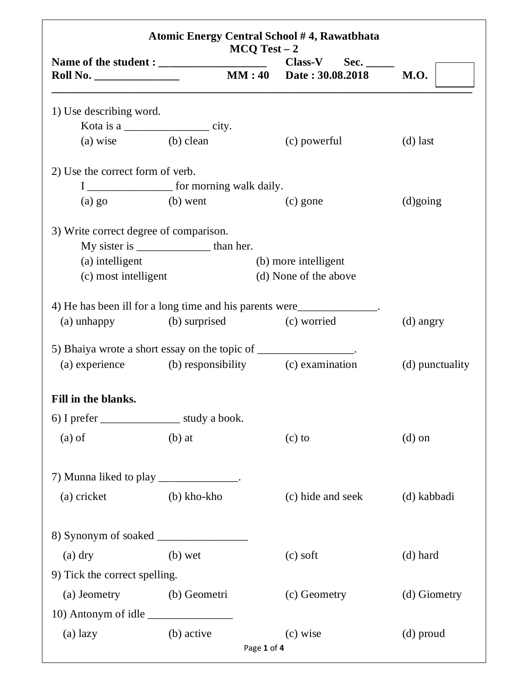| Atomic Energy Central School #4, Rawatbhata<br>$MCQ Test - 2$                     |                                                 |  |                         |                 |
|-----------------------------------------------------------------------------------|-------------------------------------------------|--|-------------------------|-----------------|
| <b>Roll No.</b> ______________                                                    |                                                 |  | MM: 40 Date: 30.08.2018 | <b>M.O.</b>     |
| 1) Use describing word.                                                           |                                                 |  |                         |                 |
| Kota is a _______________________ city.                                           |                                                 |  |                         |                 |
| (a) wise (b) clean                                                                |                                                 |  | (c) powerful            | $(d)$ last      |
| 2) Use the correct form of verb.                                                  |                                                 |  |                         |                 |
|                                                                                   | I _____________________ for morning walk daily. |  |                         |                 |
| $(a)$ go $(b)$ went                                                               |                                                 |  | (c) gone                | $(d)$ going     |
| 3) Write correct degree of comparison.                                            |                                                 |  |                         |                 |
|                                                                                   |                                                 |  |                         |                 |
| (a) intelligent                                                                   |                                                 |  | (b) more intelligent    |                 |
| (c) most intelligent                                                              |                                                 |  | (d) None of the above   |                 |
| 4) He has been ill for a long time and his parents were__________________________ |                                                 |  |                         |                 |
| (a) unhappy (b) surprised (c) worried                                             |                                                 |  |                         | $(d)$ angry     |
| 5) Bhaiya wrote a short essay on the topic of _________________.                  |                                                 |  |                         |                 |
| (a) experience (b) responsibility (c) examination                                 |                                                 |  |                         | (d) punctuality |
| Fill in the blanks.                                                               |                                                 |  |                         |                 |
| 6) I prefer ________________________ study a book.                                |                                                 |  |                         |                 |
| $(a)$ of                                                                          | $(b)$ at                                        |  | $(c)$ to                | $(d)$ on        |
| 7) Munna liked to play _____________.                                             |                                                 |  |                         |                 |
| (a) cricket                                                                       | $(b)$ kho-kho                                   |  | (c) hide and seek       | (d) kabbadi     |
|                                                                                   |                                                 |  |                         |                 |
| $(a)$ dry                                                                         | $(b)$ wet                                       |  | $(c)$ soft              | (d) hard        |
| 9) Tick the correct spelling.                                                     |                                                 |  |                         |                 |
| (a) Jeometry (b) Geometri                                                         |                                                 |  | (c) Geometry            | (d) Giometry    |
|                                                                                   |                                                 |  |                         |                 |
| 10) Antonym of idle                                                               |                                                 |  |                         |                 |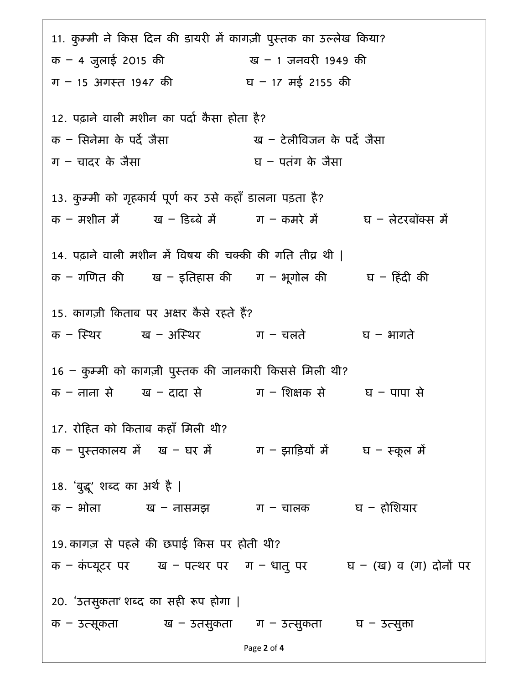Page 2 of 4 11. कुम्मी ने किस दिन की डायरी में कागज़ी पुस्तक का उल्लेख किया? क – 4 जुलाई 2015 की ख – 1 जनवरी 1949 की ग – 15 अगस्त 1947 की  $q = 17$  मई 2155 की 12. पढ़ाने वाली मशीन का पर्दा कैसा होता है? क – सिनेमा के पर्दे जैसा ख – टेलीविजन के पर्दे जैसा ग $-$  चादर के जैसा घाटना घाटना के जैसा 13. कुम्मी को गृहकार्य पूर्ण कर उसे कहाँ डालना पड़ता है? क – मशीन में या – डिब्बे में ग – कमरे में घ – लेटरबॉक्स में 14. पढ़ाने वाली मशीन में विषय की चक्की की गति तीव्र थी | क – गणित की प्य – इतिहास की ग – भूगोल की घ – हिंदी की 15. कागज़ी किताब पर अक्षर कैसे रहते हैं? क – स्थिर ख – अस्थिर ग – चलते घ – भागते  $16$  – कुम्मी को कागज़ी पुस्तक की जानकारी किससे मिली थी? क – नाना से ख – दादा से ग – शिक्षक से घ – पापा से 17. रोहत को कताब कहाँ िमली थी? क – पुस्तकालय में प्य – घर में ग – झाड़ियों में घ – स्कूल में 18. 'बुद्धू' शब्द का अर्थ है | क – भोला ख – नासमझ ग – चालक घ – होशियार 19. कागज़ से पहले की छपाई किस पर होती थी? क – कंप्यूटर पर ख – पत्थर पर ग – धात् पर घ – (ख) व (ग) दोनों पर 20. 'उतसुकता' शब्द का सही रूप होगा | क – उत्सूकता  $q = 5d$ सुकता ग – उत्सुकता घ – उत्सुका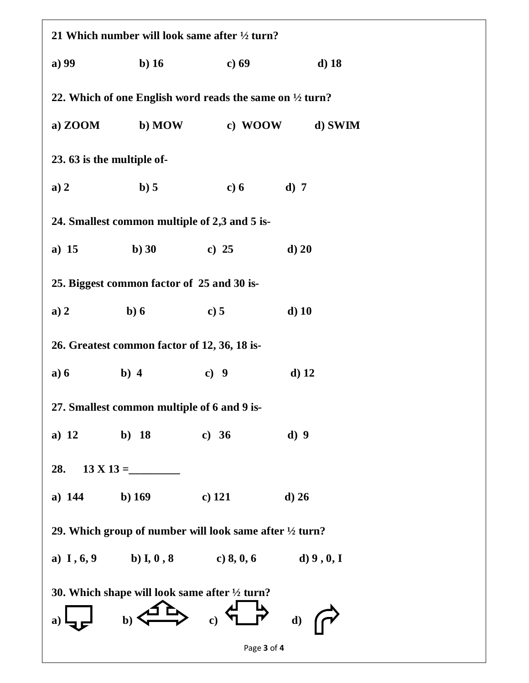| 21 Which number will look same after $\frac{1}{2}$ turn?           |                                              |                                                                     |                 |  |  |  |
|--------------------------------------------------------------------|----------------------------------------------|---------------------------------------------------------------------|-----------------|--|--|--|
| a) 99                                                              | $b)$ 16                                      | c) $69$                                                             | $d)$ 18         |  |  |  |
|                                                                    |                                              | 22. Which of one English word reads the same on $\frac{1}{2}$ turn? |                 |  |  |  |
| a) $ZOOM$                                                          | b) MOW                                       |                                                                     | c) WOOW d) SWIM |  |  |  |
| 23. 63 is the multiple of-                                         |                                              |                                                                     |                 |  |  |  |
| a) 2                                                               | b) 5                                         | c) $6$                                                              | $d)$ 7          |  |  |  |
|                                                                    |                                              | 24. Smallest common multiple of 2,3 and 5 is-                       |                 |  |  |  |
| a) $15$                                                            | $\mathbf{b}$ ) 30                            | c) 25                                                               | $d)$ 20         |  |  |  |
|                                                                    | 25. Biggest common factor of 25 and 30 is-   |                                                                     |                 |  |  |  |
| a) 2                                                               | b)6                                          | c) 5                                                                | $d)$ 10         |  |  |  |
|                                                                    | 26. Greatest common factor of 12, 36, 18 is- |                                                                     |                 |  |  |  |
| a) 6                                                               | $b)$ 4                                       | c) $9$                                                              | $d)$ 12         |  |  |  |
|                                                                    | 27. Smallest common multiple of 6 and 9 is-  |                                                                     |                 |  |  |  |
| a) $12$                                                            | b) 18                                        | c) $36$                                                             | d)9             |  |  |  |
| 28.                                                                |                                              |                                                                     |                 |  |  |  |
| a) $144$                                                           | b) $169$                                     | $c)$ 121                                                            | $d)$ 26         |  |  |  |
| 29. Which group of number will look same after $\frac{1}{2}$ turn? |                                              |                                                                     |                 |  |  |  |
|                                                                    |                                              | a) $I, 6, 9$ b) $I, 0, 8$ c) $8, 0, 6$ d) $9, 0, I$                 |                 |  |  |  |
| 30. Which shape will look same after $\frac{1}{2}$ turn?           |                                              |                                                                     |                 |  |  |  |
|                                                                    | $\mathbf{b}$                                 | $\begin{array}{c} \text{c)} \\ \text{c)} \end{array}$               | d)              |  |  |  |
|                                                                    |                                              | Page 3 of 4                                                         |                 |  |  |  |